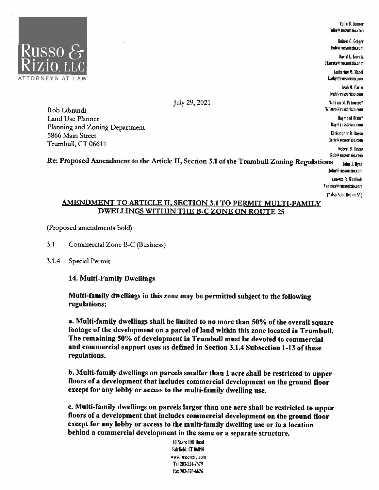

Colin 8. Connor Colin@russorizio.com

Robert G. Golger Bob<sup>lo</sup> mssorizio.com

David K. Kurata Dkurata@russorizio.com

**Katherine M. Macol** kathy@rnssorizio.com

Leah II. Parisi Leah@russorizio.com

lilliam ll. Pelroccio" \\'Pe1ro:a mmrizio.com

> Raymond Rizio• Hayre russorizio.com

Christopher B. Russo Chris@ russorizio.com

Robert D. Russo Rolv@russorizio.com

July 29, 2021

Rob Librandi Land Use Planner Planning and Zoning Department 5866 Main Street Trumbull, CT 06611

Re: Proposed Amendment to the Article II, Section 3.1 of the Trumbull Zoning Regulations John J. Ryan John@russorizio.com

Vanessa R. Wambolt

\anessa@ russorizio.com

("Also .\dmitted in  $N$ )

## AMENDMENT TO ARTICLE II, SECTION 3.1 TO PERMIT MULTI-FAMILY DWELLINGS WITHIN THE B-C ZONE ON ROUTE 25

(Proposed amendments bold)

3.1 Commercial Zone B-C (Business)

## 3.1.4 Special Permit

## 14. Multi-Family Dwellings

Multi-family dwellings in this zone may be permitted subject to the following regulations:

a. Multi-family dwellings shall be limited to no more than 50% of the overall square footage of the development on a parcel of land within this zone located in Trumbull. The remaining 50% of development in Trumbull must be devoted to commercial and commercial support uses as defined in Section 3.1.4 Subsection 1-13 of these regulations.

b. Multi-family dwellings on parcels smaller than 1 acre shall be restricted to upper floors of a development that includes commercial development on the ground floor except for any lobby or access to the multi-family dwelling use.

c. Multi-family dwellings on parcels larger than one acre shall be restricted to upper floors of a development that includes commercial development on the ground floor except for any lobby or access to the multi-family dwelling use or in a location behind a commercial development in the same or a separate structure.

> IO Sasco llill Road Fairlield, CT 06890 www.rnssorizio.com Tel 203-254-7579 Fax 203-576-6626